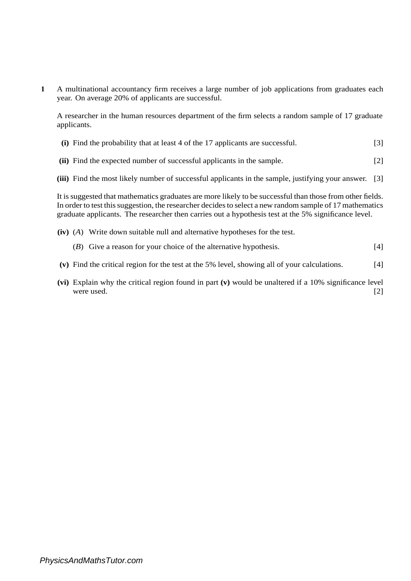**1** A multinational accountancy firm receives a large number of job applications from graduates each year. On average 20% of applicants are successful.

A researcher in the human resources department of the firm selects a random sample of 17 graduate applicants.

- **(i)** Find the probability that at least 4 of the 17 applicants are successful. [3]
- **(ii)** Find the expected number of successful applicants in the sample. [2]
- **(iii)** Find the most likely number of successful applicants in the sample, justifying your answer. [3]

It is suggested that mathematics graduates are more likely to be successful than those from other fields. In order to test this suggestion, the researcher decides to select a new random sample of 17 mathematics graduate applicants. The researcher then carries out a hypothesis test at the 5% significance level.

- **(iv)** (*A*) Write down suitable null and alternative hypotheses for the test.
	- [4] (*B*) Give a reason for your choice of the alternative hypothesis.
- **(v)** Find the critical region for the test at the 5% level, showing all of your calculations. [4]
- **(vi)** Explain why the critical region found in part **(v)** would be unaltered if a 10% significance level were used. [2]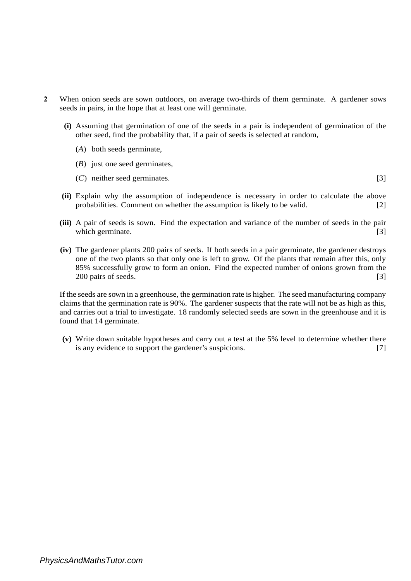- **2** When onion seeds are sown outdoors, on average two-thirds of them germinate. A gardener sows seeds in pairs, in the hope that at least one will germinate.
	- **(i)** Assuming that germination of one of the seeds in a pair is independent of germination of the other seed, find the probability that, if a pair of seeds is selected at random,
		- (*A*) both seeds germinate,
		- (*B*) just one seed germinates,
		- (*C*) neither seed germinates. [3]
	- **(ii)** Explain why the assumption of independence is necessary in order to calculate the above probabilities. Comment on whether the assumption is likely to be valid. [2]
	- **(iii)** A pair of seeds is sown. Find the expectation and variance of the number of seeds in the pair which germinate. [3] [3]
	- **(iv)** The gardener plants 200 pairs of seeds. If both seeds in a pair germinate, the gardener destroys one of the two plants so that only one is left to grow. Of the plants that remain after this, only 85% successfully grow to form an onion. Find the expected number of onions grown from the 200 pairs of seeds. [3]

If the seeds are sown in a greenhouse, the germination rate is higher. The seed manufacturing company claims that the germination rate is 90%. The gardener suspects that the rate will not be as high as this, and carries out a trial to investigate. 18 randomly selected seeds are sown in the greenhouse and it is found that 14 germinate.

**(v)** Write down suitable hypotheses and carry out a test at the 5% level to determine whether there is any evidence to support the gardener's suspicions. [7]